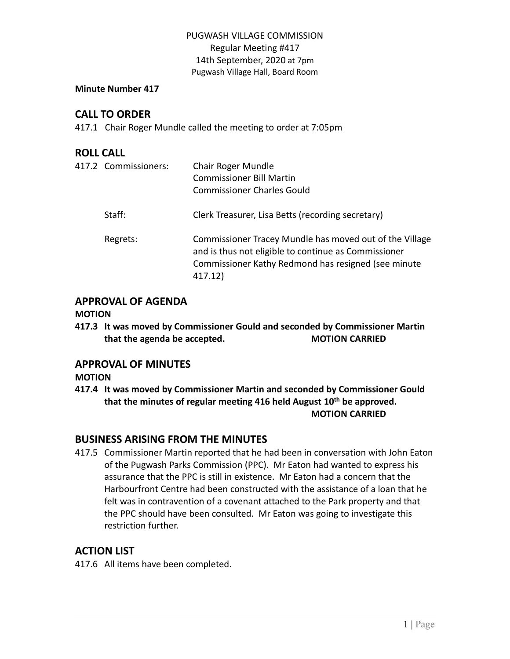### **Minute Number 417**

# **CALL TO ORDER**

417.1 Chair Roger Mundle called the meeting to order at 7:05pm

# **ROLL CALL**

| 417.2 Commissioners: | Chair Roger Mundle<br><b>Commissioner Bill Martin</b><br><b>Commissioner Charles Gould</b>                                                                                        |
|----------------------|-----------------------------------------------------------------------------------------------------------------------------------------------------------------------------------|
| Staff:               | Clerk Treasurer, Lisa Betts (recording secretary)                                                                                                                                 |
| Regrets:             | Commissioner Tracey Mundle has moved out of the Village<br>and is thus not eligible to continue as Commissioner<br>Commissioner Kathy Redmond has resigned (see minute<br>417.12) |

# **APPROVAL OF AGENDA**

### **MOTION**

**417.3 It was moved by Commissioner Gould and seconded by Commissioner Martin that the agenda be accepted. MOTION CARRIED**

# **APPROVAL OF MINUTES**

### **MOTION**

**417.4 It was moved by Commissioner Martin and seconded by Commissioner Gould that the minutes of regular meeting 416 held August 10th be approved. MOTION CARRIED**

# **BUSINESS ARISING FROM THE MINUTES**

417.5 Commissioner Martin reported that he had been in conversation with John Eaton of the Pugwash Parks Commission (PPC). Mr Eaton had wanted to express his assurance that the PPC is still in existence. Mr Eaton had a concern that the Harbourfront Centre had been constructed with the assistance of a loan that he felt was in contravention of a covenant attached to the Park property and that the PPC should have been consulted. Mr Eaton was going to investigate this restriction further.

# **ACTION LIST**

417.6 All items have been completed.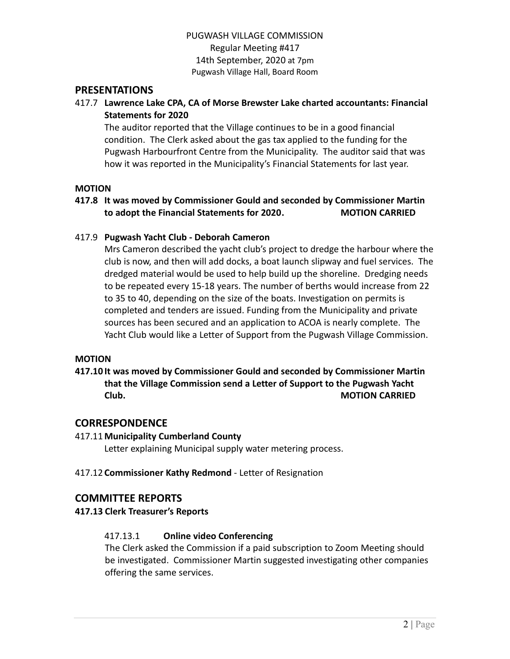### **PRESENTATIONS**

417.7 **Lawrence Lake CPA, CA of Morse Brewster Lake charted accountants: Financial Statements for 2020**

The auditor reported that the Village continues to be in a good financial condition. The Clerk asked about the gas tax applied to the funding for the Pugwash Harbourfront Centre from the Municipality. The auditor said that was how it was reported in the Municipality's Financial Statements for last year.

### **MOTION**

### **417.8 It was moved by Commissioner Gould and seconded by Commissioner Martin to adopt the Financial Statements for 2020. MOTION CARRIED**

#### 417.9 **Pugwash Yacht Club - Deborah Cameron**

Mrs Cameron described the yacht club's project to dredge the harbour where the club is now, and then will add docks, a boat launch slipway and fuel services. The dredged material would be used to help build up the shoreline. Dredging needs to be repeated every 15-18 years. The number of berths would increase from 22 to 35 to 40, depending on the size of the boats. Investigation on permits is completed and tenders are issued. Funding from the Municipality and private sources has been secured and an application to ACOA is nearly complete. The Yacht Club would like a Letter of Support from the Pugwash Village Commission.

#### **MOTION**

## **417.10 It was moved by Commissioner Gould and seconded by Commissioner Martin that the Village Commission send a Letter of Support to the Pugwash Yacht Club. MOTION CARRIED**

### **CORRESPONDENCE**

#### 417.11**Municipality Cumberland County**

Letter explaining Municipal supply water metering process.

#### 417.12 **Commissioner Kathy Redmond** - Letter of Resignation

### **COMMITTEE REPORTS**

### **417.13 Clerk Treasurer's Reports**

### 417.13.1 **Online video Conferencing**

The Clerk asked the Commission if a paid subscription to Zoom Meeting should be investigated. Commissioner Martin suggested investigating other companies offering the same services.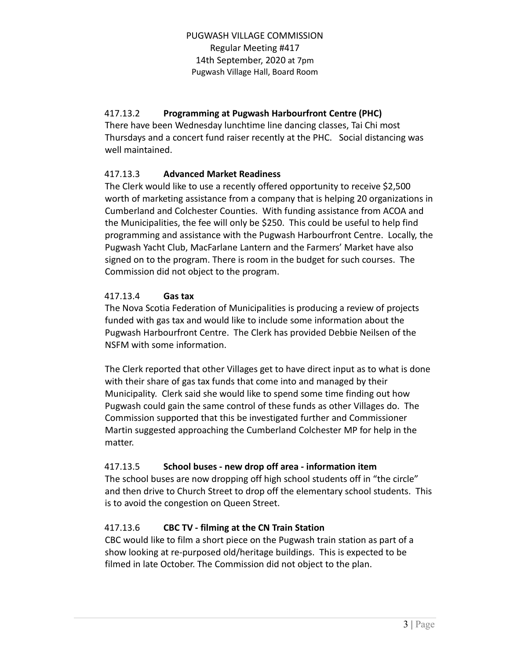# 417.13.2 **Programming at Pugwash Harbourfront Centre (PHC)**

There have been Wednesday lunchtime line dancing classes, Tai Chi most Thursdays and a concert fund raiser recently at the PHC. Social distancing was well maintained.

# 417.13.3 **Advanced Market Readiness**

The Clerk would like to use a recently offered opportunity to receive \$2,500 worth of marketing assistance from a company that is helping 20 organizations in Cumberland and Colchester Counties. With funding assistance from ACOA and the Municipalities, the fee will only be \$250. This could be useful to help find programming and assistance with the Pugwash Harbourfront Centre. Locally, the Pugwash Yacht Club, MacFarlane Lantern and the Farmers' Market have also signed on to the program. There is room in the budget for such courses. The Commission did not object to the program.

### 417.13.4 **Gas tax**

The Nova Scotia Federation of Municipalities is producing a review of projects funded with gas tax and would like to include some information about the Pugwash Harbourfront Centre. The Clerk has provided Debbie Neilsen of the NSFM with some information.

The Clerk reported that other Villages get to have direct input as to what is done with their share of gas tax funds that come into and managed by their Municipality. Clerk said she would like to spend some time finding out how Pugwash could gain the same control of these funds as other Villages do. The Commission supported that this be investigated further and Commissioner Martin suggested approaching the Cumberland Colchester MP for help in the matter.

# 417.13.5 **School buses - new drop off area - information item**

The school buses are now dropping off high school students off in "the circle" and then drive to Church Street to drop off the elementary school students. This is to avoid the congestion on Queen Street.

# 417.13.6 **CBC TV - filming at the CN Train Station**

CBC would like to film a short piece on the Pugwash train station as part of a show looking at re-purposed old/heritage buildings. This is expected to be filmed in late October. The Commission did not object to the plan.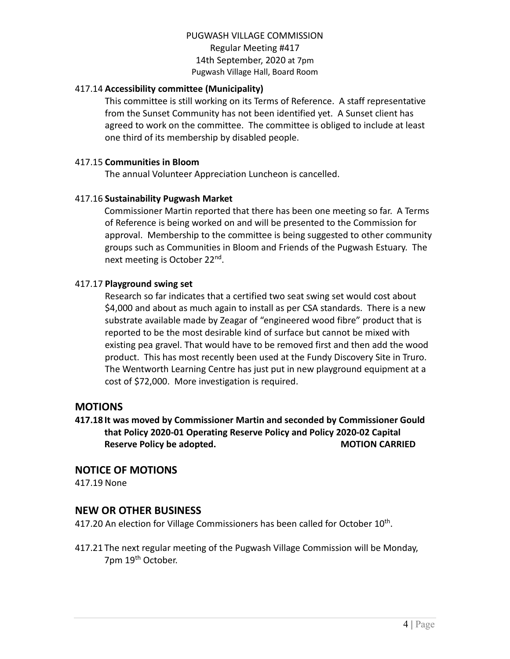### 417.14 **Accessibility committee (Municipality)**

This committee is still working on its Terms of Reference. A staff representative from the Sunset Community has not been identified yet. A Sunset client has agreed to work on the committee. The committee is obliged to include at least one third of its membership by disabled people.

### 417.15 **Communities in Bloom**

The annual Volunteer Appreciation Luncheon is cancelled.

#### 417.16 **Sustainability Pugwash Market**

Commissioner Martin reported that there has been one meeting so far. A Terms of Reference is being worked on and will be presented to the Commission for approval. Membership to the committee is being suggested to other community groups such as Communities in Bloom and Friends of the Pugwash Estuary. The next meeting is October 22<sup>nd</sup>.

### 417.17 **Playground swing set**

Research so far indicates that a certified two seat swing set would cost about \$4,000 and about as much again to install as per CSA standards. There is a new substrate available made by Zeagar of "engineered wood fibre" product that is reported to be the most desirable kind of surface but cannot be mixed with existing pea gravel. That would have to be removed first and then add the wood product. This has most recently been used at the Fundy Discovery Site in Truro. The Wentworth Learning Centre has just put in new playground equipment at a cost of \$72,000. More investigation is required.

### **MOTIONS**

**417.18 It was moved by Commissioner Martin and seconded by Commissioner Gould that Policy 2020-01 Operating Reserve Policy and Policy 2020-02 Capital Reserve Policy be adopted. MOTION CARRIED**

### **NOTICE OF MOTIONS**

417.19 None

### **NEW OR OTHER BUSINESS**

417.20 An election for Village Commissioners has been called for October  $10<sup>th</sup>$ .

417.21 The next regular meeting of the Pugwash Village Commission will be Monday, 7pm 19<sup>th</sup> October.